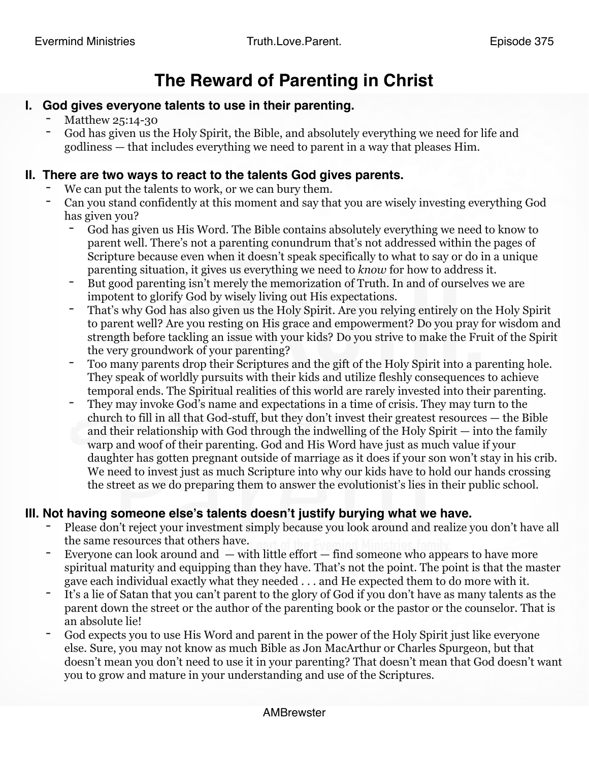# **The Reward of Parenting in Christ**

#### **I. God gives everyone talents to use in their parenting.**

- Matthew 25:14-30
- God has given us the Holy Spirit, the Bible, and absolutely everything we need for life and godliness — that includes everything we need to parent in a way that pleases Him.

### **II. There are two ways to react to the talents God gives parents.**

- We can put the talents to work, or we can bury them.
- Can you stand confidently at this moment and say that you are wisely investing everything God has given you?
	- God has given us His Word. The Bible contains absolutely everything we need to know to parent well. There's not a parenting conundrum that's not addressed within the pages of Scripture because even when it doesn't speak specifically to what to say or do in a unique parenting situation, it gives us everything we need to *know* for how to address it.
	- But good parenting isn't merely the memorization of Truth. In and of ourselves we are impotent to glorify God by wisely living out His expectations.
	- That's why God has also given us the Holy Spirit. Are you relying entirely on the Holy Spirit to parent well? Are you resting on His grace and empowerment? Do you pray for wisdom and strength before tackling an issue with your kids? Do you strive to make the Fruit of the Spirit the very groundwork of your parenting?
	- Too many parents drop their Scriptures and the gift of the Holy Spirit into a parenting hole. They speak of worldly pursuits with their kids and utilize fleshly consequences to achieve temporal ends. The Spiritual realities of this world are rarely invested into their parenting.
	- They may invoke God's name and expectations in a time of crisis. They may turn to the church to fill in all that God-stuff, but they don't invest their greatest resources — the Bible and their relationship with God through the indwelling of the Holy Spirit — into the family warp and woof of their parenting. God and His Word have just as much value if your daughter has gotten pregnant outside of marriage as it does if your son won't stay in his crib. We need to invest just as much Scripture into why our kids have to hold our hands crossing the street as we do preparing them to answer the evolutionist's lies in their public school.

## **III. Not having someone else's talents doesn't justify burying what we have.**

- Please don't reject your investment simply because you look around and realize you don't have all the same resources that others have.
- Everyone can look around and  $-$  with little effort  $-$  find someone who appears to have more spiritual maturity and equipping than they have. That's not the point. The point is that the master gave each individual exactly what they needed . . . and He expected them to do more with it.
- It's a lie of Satan that you can't parent to the glory of God if you don't have as many talents as the parent down the street or the author of the parenting book or the pastor or the counselor. That is an absolute lie!
- God expects you to use His Word and parent in the power of the Holy Spirit just like everyone else. Sure, you may not know as much Bible as Jon MacArthur or Charles Spurgeon, but that doesn't mean you don't need to use it in your parenting? That doesn't mean that God doesn't want you to grow and mature in your understanding and use of the Scriptures.